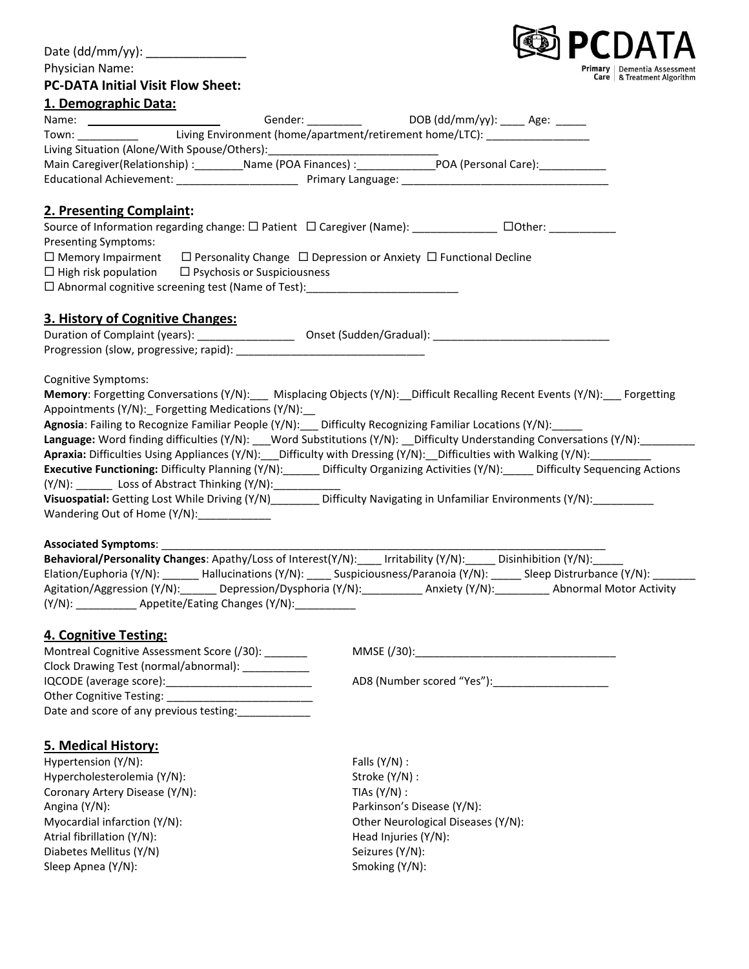| Date (dd/mm/yy): _______________                                                                            |                                                                                                                                                                                                                                  |
|-------------------------------------------------------------------------------------------------------------|----------------------------------------------------------------------------------------------------------------------------------------------------------------------------------------------------------------------------------|
| Physician Name:                                                                                             | Primary<br>Dementia Assessment                                                                                                                                                                                                   |
| <b>PC-DATA Initial Visit Flow Sheet:</b>                                                                    | Care   & Treatment Algorithm                                                                                                                                                                                                     |
| 1. Demographic Data:                                                                                        |                                                                                                                                                                                                                                  |
|                                                                                                             | Gender: _____________________________DOB (dd/mm/yy): ______ Age: _______                                                                                                                                                         |
|                                                                                                             | Town: ____________ Living Environment (home/apartment/retirement home/LTC): _________________                                                                                                                                    |
|                                                                                                             |                                                                                                                                                                                                                                  |
|                                                                                                             |                                                                                                                                                                                                                                  |
|                                                                                                             |                                                                                                                                                                                                                                  |
| 2. Presenting Complaint:                                                                                    |                                                                                                                                                                                                                                  |
|                                                                                                             | Source of Information regarding change: □ Patient □ Caregiver (Name): ____________ □Other: _________                                                                                                                             |
| Presenting Symptoms:                                                                                        |                                                                                                                                                                                                                                  |
| $\Box$ Memory Impairment $\Box$ Personality Change $\Box$ Depression or Anxiety $\Box$ Functional Decline   |                                                                                                                                                                                                                                  |
| $\Box$ High risk population $\Box$ Psychosis or Suspiciousness                                              |                                                                                                                                                                                                                                  |
| □ Abnormal cognitive screening test (Name of Test): ____________________________                            |                                                                                                                                                                                                                                  |
|                                                                                                             |                                                                                                                                                                                                                                  |
| 3. History of Cognitive Changes:                                                                            |                                                                                                                                                                                                                                  |
|                                                                                                             |                                                                                                                                                                                                                                  |
|                                                                                                             |                                                                                                                                                                                                                                  |
| Cognitive Symptoms:                                                                                         |                                                                                                                                                                                                                                  |
|                                                                                                             | Memory: Forgetting Conversations (Y/N):___ Misplacing Objects (Y/N):__Difficult Recalling Recent Events (Y/N):___ Forgetting                                                                                                     |
| Appointments (Y/N): Forgetting Medications (Y/N):                                                           |                                                                                                                                                                                                                                  |
| Agnosia: Failing to Recognize Familiar People (Y/N):__ Difficulty Recognizing Familiar Locations (Y/N):____ |                                                                                                                                                                                                                                  |
|                                                                                                             | Language: Word finding difficulties (Y/N): ___Word Substitutions (Y/N): __Difficulty Understanding Conversations (Y/N): _________                                                                                                |
|                                                                                                             | Apraxia: Difficulties Using Appliances (Y/N): Difficulty with Dressing (Y/N): Difficulties with Walking (Y/N):                                                                                                                   |
|                                                                                                             | Executive Functioning: Difficulty Planning (Y/N): ______ Difficulty Organizing Activities (Y/N): _____ Difficulty Sequencing Actions                                                                                             |
| (Y/N): Loss of Abstract Thinking (Y/N): _________                                                           |                                                                                                                                                                                                                                  |
|                                                                                                             | Visuospatial: Getting Lost While Driving (Y/N)________ Difficulty Navigating in Unfamiliar Environments (Y/N):__________                                                                                                         |
| Wandering Out of Home (Y/N):____________                                                                    |                                                                                                                                                                                                                                  |
|                                                                                                             |                                                                                                                                                                                                                                  |
| <b>Associated Symptoms:</b>                                                                                 |                                                                                                                                                                                                                                  |
|                                                                                                             |                                                                                                                                                                                                                                  |
|                                                                                                             | Behavioral/Personality Changes: Apathy/Loss of Interest(Y/N): ____ Irritability (Y/N): _____ Disinhibition (Y/N): _____<br>Elation/Euphoria (Y/N): _______ Hallucinations (Y/N): ____ Suspiciousness/Paranoia (Y/N): _____ Sleep |
|                                                                                                             | Agitation/Aggression (Y/N):________ Depression/Dysphoria (Y/N):____________ Anxiety (Y/N):__________ Abnormal Motor Activity                                                                                                     |
| (Y/N): _____________ Appetite/Eating Changes (Y/N): __________                                              |                                                                                                                                                                                                                                  |
|                                                                                                             |                                                                                                                                                                                                                                  |
| 4. Cognitive Testing:<br>Montreal Cognitive Assessment Score (/30): _______                                 |                                                                                                                                                                                                                                  |
| Clock Drawing Test (normal/abnormal): ___________                                                           |                                                                                                                                                                                                                                  |
|                                                                                                             |                                                                                                                                                                                                                                  |
|                                                                                                             |                                                                                                                                                                                                                                  |
|                                                                                                             |                                                                                                                                                                                                                                  |
| Date and score of any previous testing:                                                                     |                                                                                                                                                                                                                                  |
| 5. Medical History:                                                                                         |                                                                                                                                                                                                                                  |
| Hypertension (Y/N):                                                                                         | Falls $(Y/N)$ :                                                                                                                                                                                                                  |
| Hypercholesterolemia (Y/N):                                                                                 | Stroke (Y/N) :                                                                                                                                                                                                                   |
| Coronary Artery Disease (Y/N):                                                                              | TIAs $(Y/N)$ :                                                                                                                                                                                                                   |
| Angina (Y/N):                                                                                               | Parkinson's Disease (Y/N):                                                                                                                                                                                                       |
|                                                                                                             |                                                                                                                                                                                                                                  |
| Myocardial infarction (Y/N):<br>Atrial fibrillation (Y/N):                                                  | Other Neurological Diseases (Y/N):<br>Head Injuries (Y/N):                                                                                                                                                                       |
|                                                                                                             |                                                                                                                                                                                                                                  |
| Diabetes Mellitus (Y/N)<br>Sleep Apnea (Y/N):                                                               | Seizures (Y/N):<br>Smoking (Y/N):                                                                                                                                                                                                |
|                                                                                                             |                                                                                                                                                                                                                                  |
|                                                                                                             |                                                                                                                                                                                                                                  |